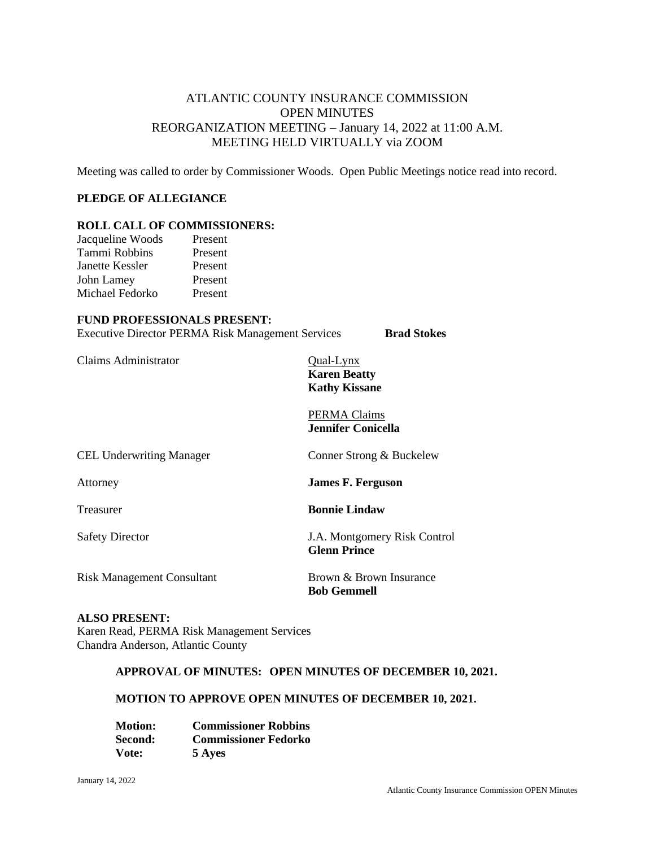# ATLANTIC COUNTY INSURANCE COMMISSION OPEN MINUTES REORGANIZATION MEETING – January 14, 2022 at 11:00 A.M. MEETING HELD VIRTUALLY via ZOOM

Meeting was called to order by Commissioner Woods. Open Public Meetings notice read into record.

### **PLEDGE OF ALLEGIANCE**

### **ROLL CALL OF COMMISSIONERS:**

| Jacqueline Woods | Present |
|------------------|---------|
| Tammi Robbins    | Present |
| Janette Kessler  | Present |
| John Lamey       | Present |
| Michael Fedorko  | Present |

#### **FUND PROFESSIONALS PRESENT:**

Executive Director PERMA Risk Management Services **Brad Stokes**

Claims Administrator Qual-Lynx

**Karen Beatty Kathy Kissane**

PERMA Claims **Jennifer Conicella**

| <b>CEL Underwriting Manager</b>   | Conner Strong & Buckelew                            |
|-----------------------------------|-----------------------------------------------------|
| Attorney                          | <b>James F. Ferguson</b>                            |
| Treasurer                         | <b>Bonnie Lindaw</b>                                |
| <b>Safety Director</b>            | J.A. Montgomery Risk Control<br><b>Glenn Prince</b> |
| <b>Risk Management Consultant</b> | Brown & Brown Insurance<br><b>Bob Gemmell</b>       |

## **ALSO PRESENT:**

Karen Read, PERMA Risk Management Services Chandra Anderson, Atlantic County

#### **APPROVAL OF MINUTES: OPEN MINUTES OF DECEMBER 10, 2021.**

#### **MOTION TO APPROVE OPEN MINUTES OF DECEMBER 10, 2021.**

| <b>Motion:</b> | <b>Commissioner Robbins</b> |
|----------------|-----------------------------|
| Second:        | <b>Commissioner Fedorko</b> |
| Vote:          | 5 Ayes                      |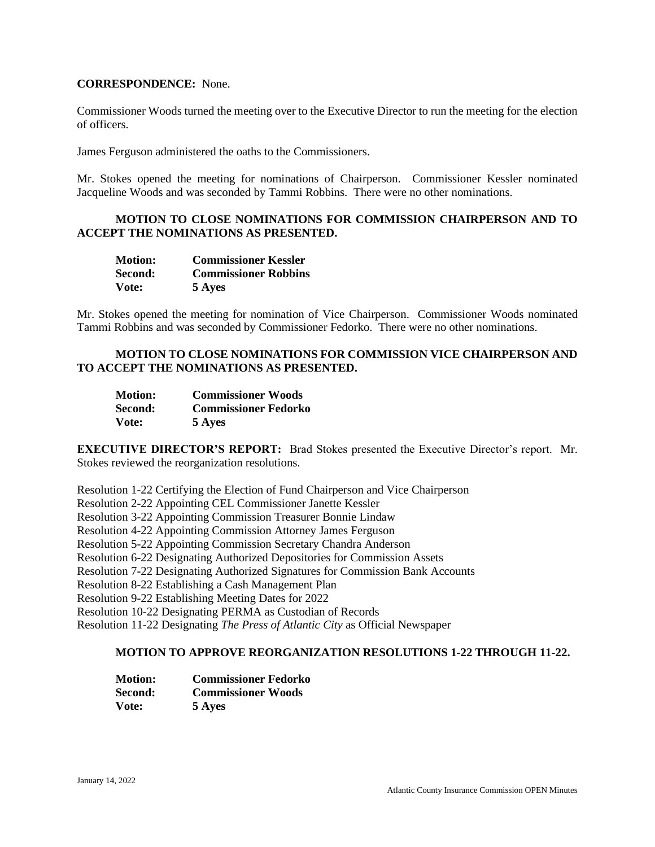#### **CORRESPONDENCE:** None.

Commissioner Woods turned the meeting over to the Executive Director to run the meeting for the election of officers.

James Ferguson administered the oaths to the Commissioners.

Mr. Stokes opened the meeting for nominations of Chairperson. Commissioner Kessler nominated Jacqueline Woods and was seconded by Tammi Robbins. There were no other nominations.

## **MOTION TO CLOSE NOMINATIONS FOR COMMISSION CHAIRPERSON AND TO ACCEPT THE NOMINATIONS AS PRESENTED.**

| <b>Motion:</b> | <b>Commissioner Kessler</b> |
|----------------|-----------------------------|
| Second:        | <b>Commissioner Robbins</b> |
| Vote:          | 5 Ayes                      |

Mr. Stokes opened the meeting for nomination of Vice Chairperson. Commissioner Woods nominated Tammi Robbins and was seconded by Commissioner Fedorko. There were no other nominations.

## **MOTION TO CLOSE NOMINATIONS FOR COMMISSION VICE CHAIRPERSON AND TO ACCEPT THE NOMINATIONS AS PRESENTED.**

| <b>Motion:</b> | <b>Commissioner Woods</b>   |
|----------------|-----------------------------|
| <b>Second:</b> | <b>Commissioner Fedorko</b> |
| Vote:          | 5 Ayes                      |

**EXECUTIVE DIRECTOR'S REPORT:** Brad Stokes presented the Executive Director's report. Mr. Stokes reviewed the reorganization resolutions.

Resolution 1-22 Certifying the Election of Fund Chairperson and Vice Chairperson

Resolution 2-22 Appointing CEL Commissioner Janette Kessler

Resolution 3-22 Appointing Commission Treasurer Bonnie Lindaw

Resolution 4-22 Appointing Commission Attorney James Ferguson

Resolution 5-22 Appointing Commission Secretary Chandra Anderson

Resolution 6-22 Designating Authorized Depositories for Commission Assets

Resolution 7-22 Designating Authorized Signatures for Commission Bank Accounts

Resolution 8-22 Establishing a Cash Management Plan

Resolution 9-22 Establishing Meeting Dates for 2022

Resolution 10-22 Designating PERMA as Custodian of Records

Resolution 11-22 Designating *The Press of Atlantic City* as Official Newspaper

## **MOTION TO APPROVE REORGANIZATION RESOLUTIONS 1-22 THROUGH 11-22.**

| <b>Motion:</b> | <b>Commissioner Fedorko</b> |
|----------------|-----------------------------|
| Second:        | <b>Commissioner Woods</b>   |
| Vote:          | 5 Ayes                      |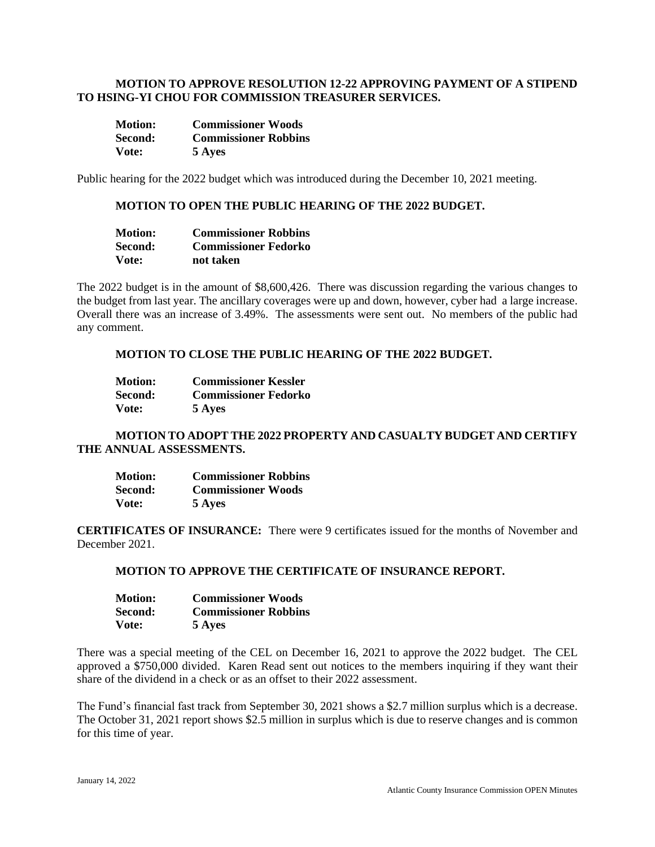### **MOTION TO APPROVE RESOLUTION 12-22 APPROVING PAYMENT OF A STIPEND TO HSING-YI CHOU FOR COMMISSION TREASURER SERVICES.**

| <b>Motion:</b> | <b>Commissioner Woods</b>   |
|----------------|-----------------------------|
| Second:        | <b>Commissioner Robbins</b> |
| Vote:          | 5 Ayes                      |

Public hearing for the 2022 budget which was introduced during the December 10, 2021 meeting.

### **MOTION TO OPEN THE PUBLIC HEARING OF THE 2022 BUDGET.**

| <b>Motion:</b> | <b>Commissioner Robbins</b> |
|----------------|-----------------------------|
| Second:        | <b>Commissioner Fedorko</b> |
| Vote:          | not taken                   |

The 2022 budget is in the amount of \$8,600,426. There was discussion regarding the various changes to the budget from last year. The ancillary coverages were up and down, however, cyber had a large increase. Overall there was an increase of 3.49%. The assessments were sent out. No members of the public had any comment.

## **MOTION TO CLOSE THE PUBLIC HEARING OF THE 2022 BUDGET.**

| <b>Motion:</b> | <b>Commissioner Kessler</b> |
|----------------|-----------------------------|
| Second:        | <b>Commissioner Fedorko</b> |
| Vote:          | 5 Ayes                      |

## **MOTION TO ADOPT THE 2022 PROPERTY AND CASUALTY BUDGET AND CERTIFY THE ANNUAL ASSESSMENTS.**

| <b>Motion:</b> | <b>Commissioner Robbins</b> |
|----------------|-----------------------------|
| Second:        | <b>Commissioner Woods</b>   |
| Vote:          | 5 Ayes                      |

**CERTIFICATES OF INSURANCE:** There were 9 certificates issued for the months of November and December 2021.

### **MOTION TO APPROVE THE CERTIFICATE OF INSURANCE REPORT.**

| <b>Motion:</b> | <b>Commissioner Woods</b>   |
|----------------|-----------------------------|
| Second:        | <b>Commissioner Robbins</b> |
| Vote:          | 5 Ayes                      |

There was a special meeting of the CEL on December 16, 2021 to approve the 2022 budget. The CEL approved a \$750,000 divided. Karen Read sent out notices to the members inquiring if they want their share of the dividend in a check or as an offset to their 2022 assessment.

The Fund's financial fast track from September 30, 2021 shows a \$2.7 million surplus which is a decrease. The October 31, 2021 report shows \$2.5 million in surplus which is due to reserve changes and is common for this time of year.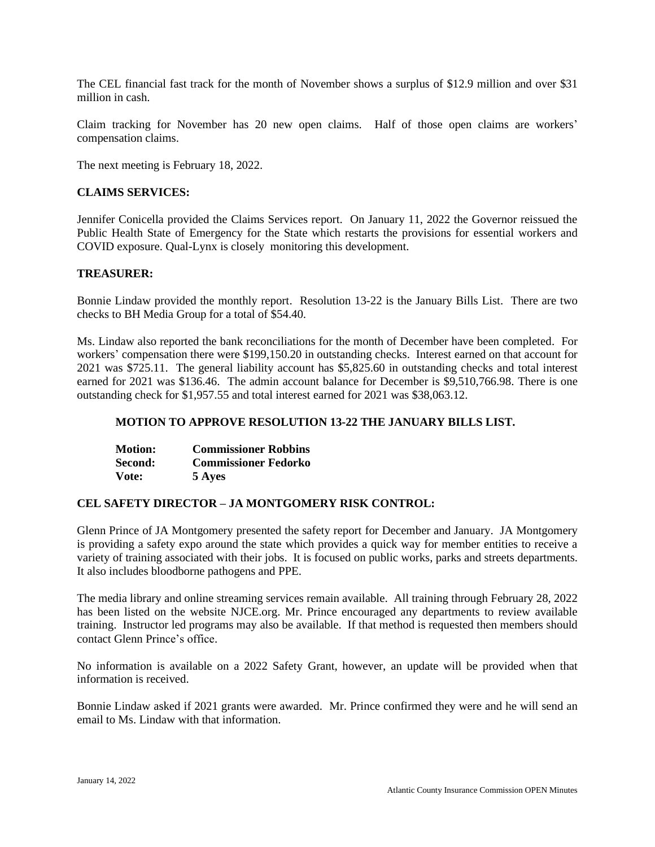The CEL financial fast track for the month of November shows a surplus of \$12.9 million and over \$31 million in cash.

Claim tracking for November has 20 new open claims. Half of those open claims are workers' compensation claims.

The next meeting is February 18, 2022.

### **CLAIMS SERVICES:**

Jennifer Conicella provided the Claims Services report. On January 11, 2022 the Governor reissued the Public Health State of Emergency for the State which restarts the provisions for essential workers and COVID exposure. Qual-Lynx is closely monitoring this development.

## **TREASURER:**

Bonnie Lindaw provided the monthly report. Resolution 13-22 is the January Bills List. There are two checks to BH Media Group for a total of \$54.40.

Ms. Lindaw also reported the bank reconciliations for the month of December have been completed. For workers' compensation there were \$199,150.20 in outstanding checks. Interest earned on that account for 2021 was \$725.11. The general liability account has \$5,825.60 in outstanding checks and total interest earned for 2021 was \$136.46. The admin account balance for December is \$9,510,766.98. There is one outstanding check for \$1,957.55 and total interest earned for 2021 was \$38,063.12.

### **MOTION TO APPROVE RESOLUTION 13-22 THE JANUARY BILLS LIST.**

| <b>Motion:</b> | <b>Commissioner Robbins</b> |
|----------------|-----------------------------|
| Second:        | <b>Commissioner Fedorko</b> |
| Vote:          | 5 Ayes                      |

### **CEL SAFETY DIRECTOR – JA MONTGOMERY RISK CONTROL:**

Glenn Prince of JA Montgomery presented the safety report for December and January. JA Montgomery is providing a safety expo around the state which provides a quick way for member entities to receive a variety of training associated with their jobs. It is focused on public works, parks and streets departments. It also includes bloodborne pathogens and PPE.

The media library and online streaming services remain available. All training through February 28, 2022 has been listed on the website NJCE.org. Mr. Prince encouraged any departments to review available training. Instructor led programs may also be available. If that method is requested then members should contact Glenn Prince's office.

No information is available on a 2022 Safety Grant, however, an update will be provided when that information is received.

Bonnie Lindaw asked if 2021 grants were awarded. Mr. Prince confirmed they were and he will send an email to Ms. Lindaw with that information.